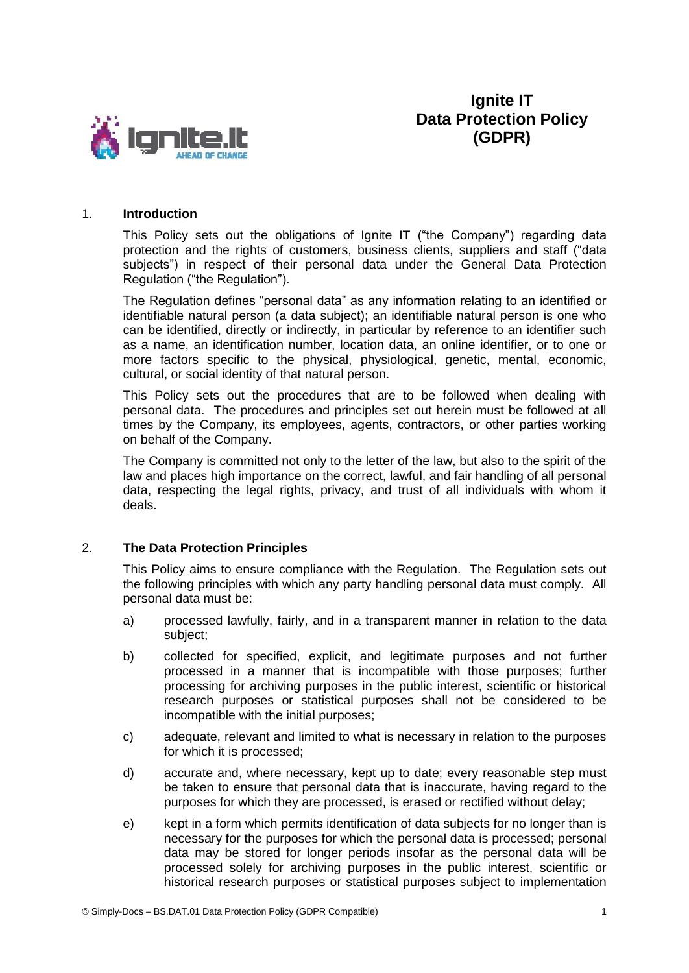

**Ignite IT Data Protection Policy (GDPR)**

#### 1. **Introduction**

This Policy sets out the obligations of Ignite IT ("the Company") regarding data protection and the rights of customers, business clients, suppliers and staff ("data subjects") in respect of their personal data under the General Data Protection Regulation ("the Regulation").

The Regulation defines "personal data" as any information relating to an identified or identifiable natural person (a data subject); an identifiable natural person is one who can be identified, directly or indirectly, in particular by reference to an identifier such as a name, an identification number, location data, an online identifier, or to one or more factors specific to the physical, physiological, genetic, mental, economic, cultural, or social identity of that natural person.

This Policy sets out the procedures that are to be followed when dealing with personal data. The procedures and principles set out herein must be followed at all times by the Company, its employees, agents, contractors, or other parties working on behalf of the Company.

The Company is committed not only to the letter of the law, but also to the spirit of the law and places high importance on the correct, lawful, and fair handling of all personal data, respecting the legal rights, privacy, and trust of all individuals with whom it deals.

#### 2. **The Data Protection Principles**

This Policy aims to ensure compliance with the Regulation. The Regulation sets out the following principles with which any party handling personal data must comply. All personal data must be:

- a) processed lawfully, fairly, and in a transparent manner in relation to the data subject;
- b) collected for specified, explicit, and legitimate purposes and not further processed in a manner that is incompatible with those purposes; further processing for archiving purposes in the public interest, scientific or historical research purposes or statistical purposes shall not be considered to be incompatible with the initial purposes;
- c) adequate, relevant and limited to what is necessary in relation to the purposes for which it is processed;
- d) accurate and, where necessary, kept up to date; every reasonable step must be taken to ensure that personal data that is inaccurate, having regard to the purposes for which they are processed, is erased or rectified without delay;
- e) kept in a form which permits identification of data subjects for no longer than is necessary for the purposes for which the personal data is processed; personal data may be stored for longer periods insofar as the personal data will be processed solely for archiving purposes in the public interest, scientific or historical research purposes or statistical purposes subject to implementation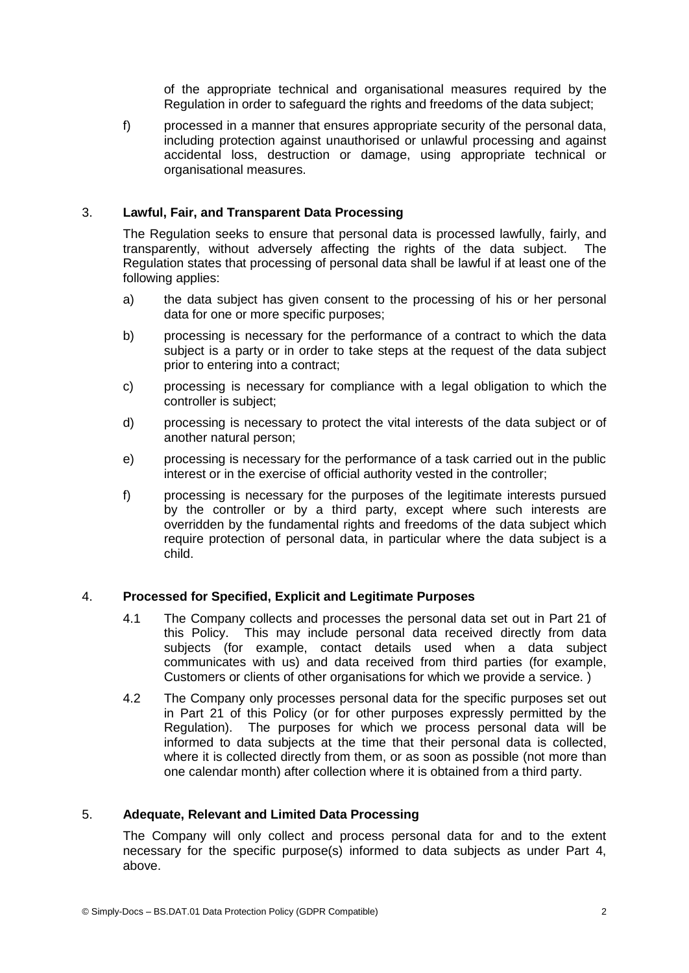of the appropriate technical and organisational measures required by the Regulation in order to safeguard the rights and freedoms of the data subject;

f) processed in a manner that ensures appropriate security of the personal data, including protection against unauthorised or unlawful processing and against accidental loss, destruction or damage, using appropriate technical or organisational measures.

# 3. **Lawful, Fair, and Transparent Data Processing**

The Regulation seeks to ensure that personal data is processed lawfully, fairly, and transparently, without adversely affecting the rights of the data subject. The Regulation states that processing of personal data shall be lawful if at least one of the following applies:

- a) the data subject has given consent to the processing of his or her personal data for one or more specific purposes;
- b) processing is necessary for the performance of a contract to which the data subject is a party or in order to take steps at the request of the data subject prior to entering into a contract;
- c) processing is necessary for compliance with a legal obligation to which the controller is subject;
- d) processing is necessary to protect the vital interests of the data subject or of another natural person;
- e) processing is necessary for the performance of a task carried out in the public interest or in the exercise of official authority vested in the controller;
- f) processing is necessary for the purposes of the legitimate interests pursued by the controller or by a third party, except where such interests are overridden by the fundamental rights and freedoms of the data subject which require protection of personal data, in particular where the data subject is a child.

#### 4. **Processed for Specified, Explicit and Legitimate Purposes**

- 4.1 The Company collects and processes the personal data set out in Part 21 of this Policy. This may include personal data received directly from data subjects (for example, contact details used when a data subject communicates with us) and data received from third parties (for example, Customers or clients of other organisations for which we provide a service. )
- 4.2 The Company only processes personal data for the specific purposes set out in Part 21 of this Policy (or for other purposes expressly permitted by the Regulation). The purposes for which we process personal data will be informed to data subjects at the time that their personal data is collected, where it is collected directly from them, or as soon as possible (not more than one calendar month) after collection where it is obtained from a third party.

#### 5. **Adequate, Relevant and Limited Data Processing**

The Company will only collect and process personal data for and to the extent necessary for the specific purpose(s) informed to data subjects as under Part 4, above.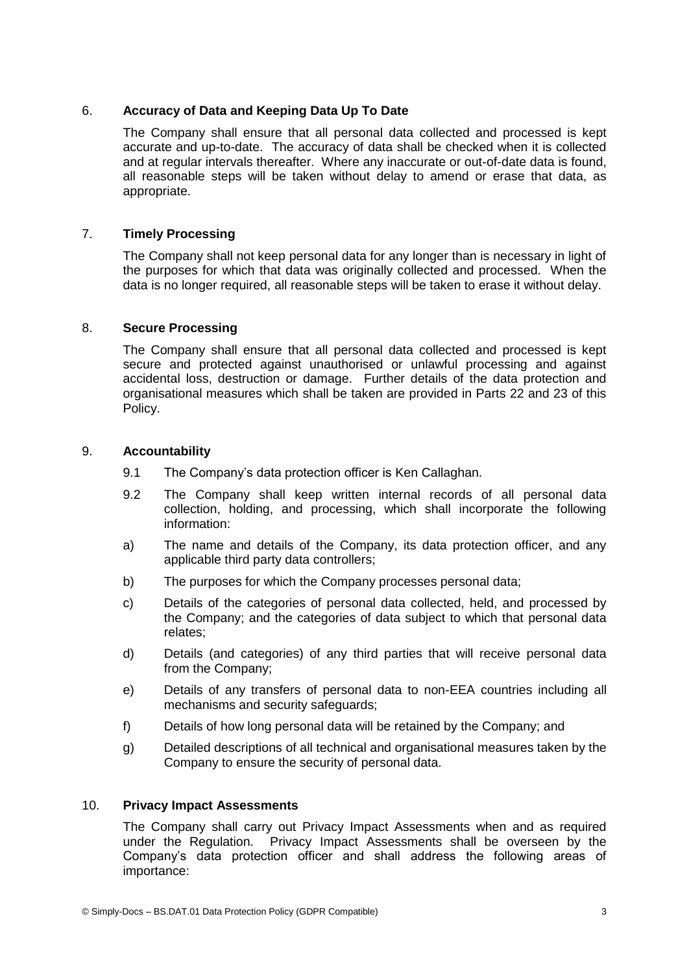# 6. **Accuracy of Data and Keeping Data Up To Date**

The Company shall ensure that all personal data collected and processed is kept accurate and up-to-date. The accuracy of data shall be checked when it is collected and at regular intervals thereafter. Where any inaccurate or out-of-date data is found, all reasonable steps will be taken without delay to amend or erase that data, as appropriate.

# 7. **Timely Processing**

The Company shall not keep personal data for any longer than is necessary in light of the purposes for which that data was originally collected and processed. When the data is no longer required, all reasonable steps will be taken to erase it without delay.

## 8. **Secure Processing**

The Company shall ensure that all personal data collected and processed is kept secure and protected against unauthorised or unlawful processing and against accidental loss, destruction or damage. Further details of the data protection and organisational measures which shall be taken are provided in Parts 22 and 23 of this Policy.

## 9. **Accountability**

- 9.1 The Company's data protection officer is Ken Callaghan.
- 9.2 The Company shall keep written internal records of all personal data collection, holding, and processing, which shall incorporate the following information:
- a) The name and details of the Company, its data protection officer, and any applicable third party data controllers;
- b) The purposes for which the Company processes personal data;
- c) Details of the categories of personal data collected, held, and processed by the Company; and the categories of data subject to which that personal data relates;
- d) Details (and categories) of any third parties that will receive personal data from the Company;
- e) Details of any transfers of personal data to non-EEA countries including all mechanisms and security safeguards;
- f) Details of how long personal data will be retained by the Company; and
- g) Detailed descriptions of all technical and organisational measures taken by the Company to ensure the security of personal data.

## 10. **Privacy Impact Assessments**

The Company shall carry out Privacy Impact Assessments when and as required under the Regulation. Privacy Impact Assessments shall be overseen by the Company's data protection officer and shall address the following areas of importance: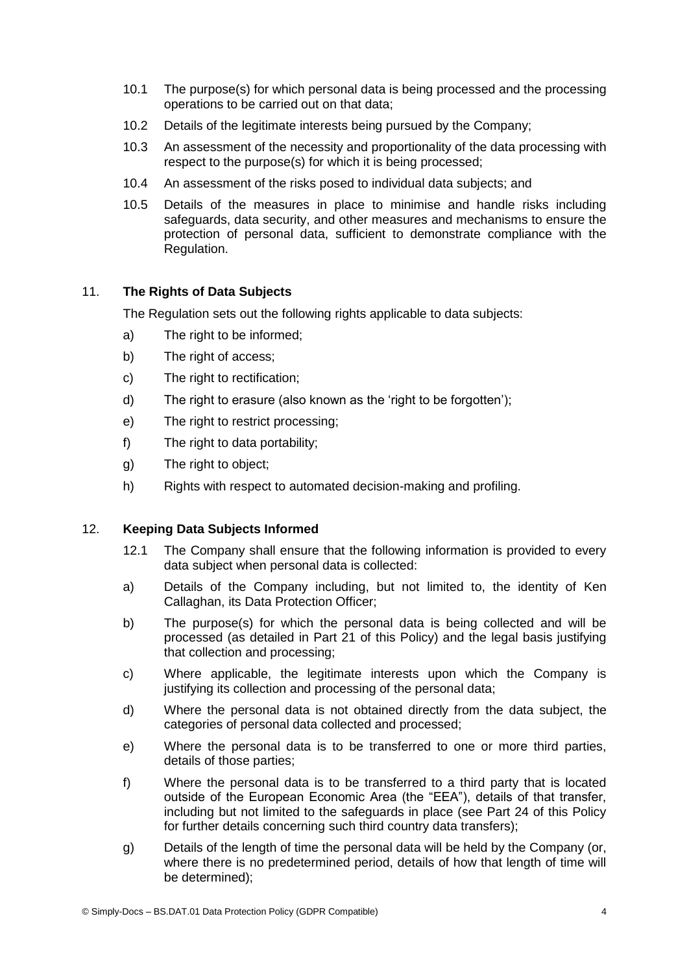- 10.1 The purpose(s) for which personal data is being processed and the processing operations to be carried out on that data;
- 10.2 Details of the legitimate interests being pursued by the Company;
- 10.3 An assessment of the necessity and proportionality of the data processing with respect to the purpose(s) for which it is being processed;
- 10.4 An assessment of the risks posed to individual data subjects; and
- 10.5 Details of the measures in place to minimise and handle risks including safeguards, data security, and other measures and mechanisms to ensure the protection of personal data, sufficient to demonstrate compliance with the Regulation.

# 11. **The Rights of Data Subjects**

The Regulation sets out the following rights applicable to data subjects:

- a) The right to be informed;
- b) The right of access;
- c) The right to rectification;
- d) The right to erasure (also known as the 'right to be forgotten');
- e) The right to restrict processing;
- f) The right to data portability;
- g) The right to object;
- h) Rights with respect to automated decision-making and profiling.

#### 12. **Keeping Data Subjects Informed**

- 12.1 The Company shall ensure that the following information is provided to every data subject when personal data is collected:
- a) Details of the Company including, but not limited to, the identity of Ken Callaghan, its Data Protection Officer;
- b) The purpose(s) for which the personal data is being collected and will be processed (as detailed in Part 21 of this Policy) and the legal basis justifying that collection and processing;
- c) Where applicable, the legitimate interests upon which the Company is justifying its collection and processing of the personal data;
- d) Where the personal data is not obtained directly from the data subject, the categories of personal data collected and processed;
- e) Where the personal data is to be transferred to one or more third parties, details of those parties;
- f) Where the personal data is to be transferred to a third party that is located outside of the European Economic Area (the "EEA"), details of that transfer, including but not limited to the safeguards in place (see Part 24 of this Policy for further details concerning such third country data transfers);
- g) Details of the length of time the personal data will be held by the Company (or, where there is no predetermined period, details of how that length of time will be determined);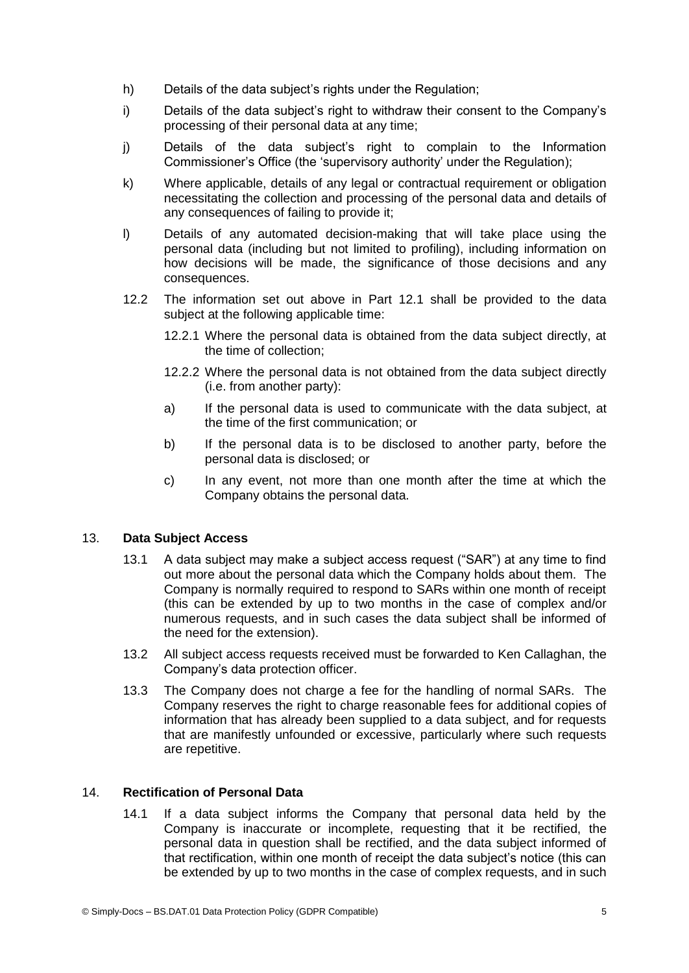- h) Details of the data subiect's rights under the Regulation:
- i) Details of the data subject's right to withdraw their consent to the Company's processing of their personal data at any time;
- j) Details of the data subject's right to complain to the Information Commissioner's Office (the 'supervisory authority' under the Regulation);
- k) Where applicable, details of any legal or contractual requirement or obligation necessitating the collection and processing of the personal data and details of any consequences of failing to provide it;
- l) Details of any automated decision-making that will take place using the personal data (including but not limited to profiling), including information on how decisions will be made, the significance of those decisions and any consequences.
- 12.2 The information set out above in Part 12.1 shall be provided to the data subject at the following applicable time:
	- 12.2.1 Where the personal data is obtained from the data subject directly, at the time of collection;
	- 12.2.2 Where the personal data is not obtained from the data subject directly (i.e. from another party):
	- a) If the personal data is used to communicate with the data subject, at the time of the first communication; or
	- b) If the personal data is to be disclosed to another party, before the personal data is disclosed; or
	- c) In any event, not more than one month after the time at which the Company obtains the personal data.

# 13. **Data Subject Access**

- 13.1 A data subject may make a subject access request ("SAR") at any time to find out more about the personal data which the Company holds about them. The Company is normally required to respond to SARs within one month of receipt (this can be extended by up to two months in the case of complex and/or numerous requests, and in such cases the data subject shall be informed of the need for the extension).
- 13.2 All subject access requests received must be forwarded to Ken Callaghan, the Company's data protection officer.
- 13.3 The Company does not charge a fee for the handling of normal SARs. The Company reserves the right to charge reasonable fees for additional copies of information that has already been supplied to a data subject, and for requests that are manifestly unfounded or excessive, particularly where such requests are repetitive.

## 14. **Rectification of Personal Data**

14.1 If a data subject informs the Company that personal data held by the Company is inaccurate or incomplete, requesting that it be rectified, the personal data in question shall be rectified, and the data subject informed of that rectification, within one month of receipt the data subject's notice (this can be extended by up to two months in the case of complex requests, and in such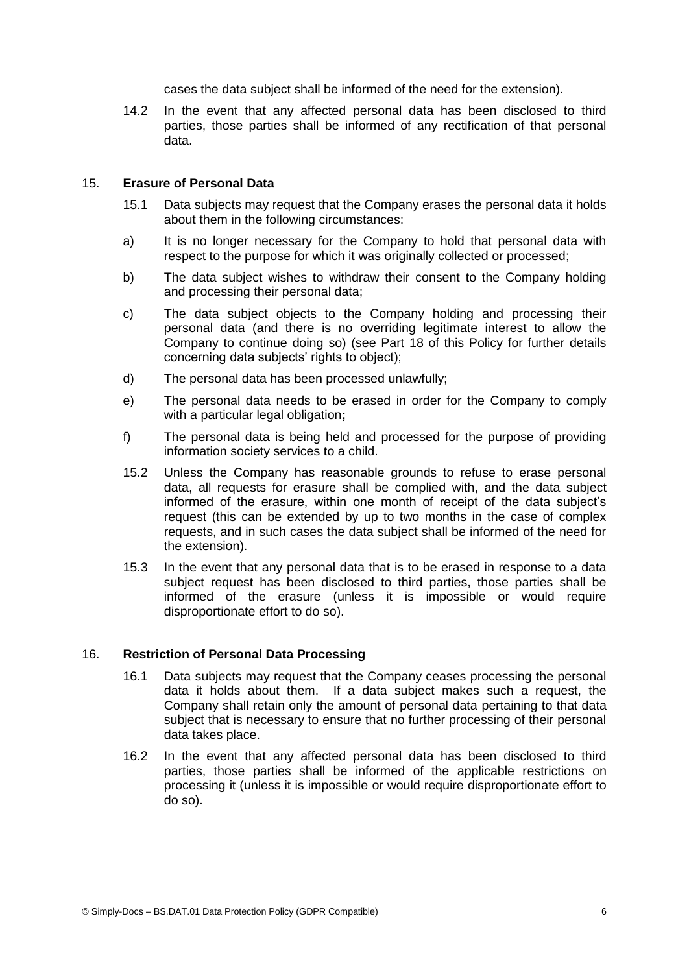cases the data subject shall be informed of the need for the extension).

14.2 In the event that any affected personal data has been disclosed to third parties, those parties shall be informed of any rectification of that personal data.

## 15. **Erasure of Personal Data**

- 15.1 Data subjects may request that the Company erases the personal data it holds about them in the following circumstances:
- a) It is no longer necessary for the Company to hold that personal data with respect to the purpose for which it was originally collected or processed;
- b) The data subject wishes to withdraw their consent to the Company holding and processing their personal data;
- c) The data subject objects to the Company holding and processing their personal data (and there is no overriding legitimate interest to allow the Company to continue doing so) (see Part 18 of this Policy for further details concerning data subjects' rights to object);
- d) The personal data has been processed unlawfully;
- e) The personal data needs to be erased in order for the Company to comply with a particular legal obligation**;**
- f) The personal data is being held and processed for the purpose of providing information society services to a child.
- 15.2 Unless the Company has reasonable grounds to refuse to erase personal data, all requests for erasure shall be complied with, and the data subject informed of the erasure, within one month of receipt of the data subject's request (this can be extended by up to two months in the case of complex requests, and in such cases the data subject shall be informed of the need for the extension).
- 15.3 In the event that any personal data that is to be erased in response to a data subject request has been disclosed to third parties, those parties shall be informed of the erasure (unless it is impossible or would require disproportionate effort to do so).

#### 16. **Restriction of Personal Data Processing**

- 16.1 Data subjects may request that the Company ceases processing the personal data it holds about them. If a data subject makes such a request, the Company shall retain only the amount of personal data pertaining to that data subject that is necessary to ensure that no further processing of their personal data takes place.
- 16.2 In the event that any affected personal data has been disclosed to third parties, those parties shall be informed of the applicable restrictions on processing it (unless it is impossible or would require disproportionate effort to do so).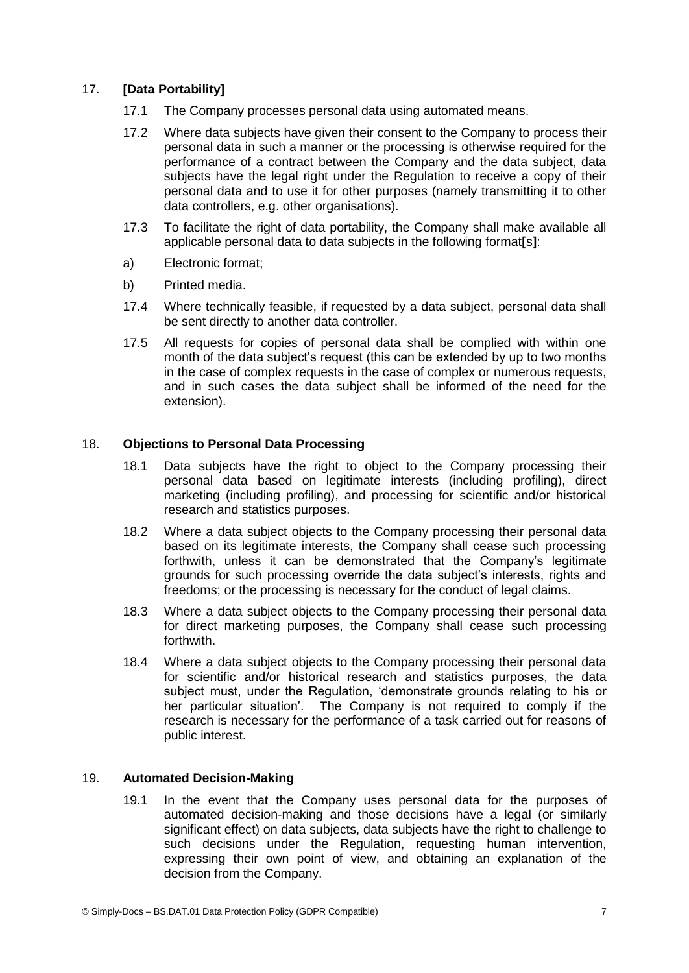# 17. **[Data Portability]**

- 17.1 The Company processes personal data using automated means.
- 17.2 Where data subjects have given their consent to the Company to process their personal data in such a manner or the processing is otherwise required for the performance of a contract between the Company and the data subject, data subjects have the legal right under the Regulation to receive a copy of their personal data and to use it for other purposes (namely transmitting it to other data controllers, e.g. other organisations).
- 17.3 To facilitate the right of data portability, the Company shall make available all applicable personal data to data subjects in the following format**[**s**]**:
- a) Electronic format;
- b) Printed media.
- 17.4 Where technically feasible, if requested by a data subject, personal data shall be sent directly to another data controller.
- 17.5 All requests for copies of personal data shall be complied with within one month of the data subject's request (this can be extended by up to two months in the case of complex requests in the case of complex or numerous requests, and in such cases the data subject shall be informed of the need for the extension).

## 18. **Objections to Personal Data Processing**

- 18.1 Data subjects have the right to object to the Company processing their personal data based on legitimate interests (including profiling), direct marketing (including profiling), and processing for scientific and/or historical research and statistics purposes.
- 18.2 Where a data subject objects to the Company processing their personal data based on its legitimate interests, the Company shall cease such processing forthwith, unless it can be demonstrated that the Company's legitimate grounds for such processing override the data subject's interests, rights and freedoms; or the processing is necessary for the conduct of legal claims.
- 18.3 Where a data subject objects to the Company processing their personal data for direct marketing purposes, the Company shall cease such processing forthwith.
- 18.4 Where a data subject objects to the Company processing their personal data for scientific and/or historical research and statistics purposes, the data subject must, under the Regulation, 'demonstrate grounds relating to his or her particular situation'. The Company is not required to comply if the research is necessary for the performance of a task carried out for reasons of public interest.

#### 19. **Automated Decision-Making**

19.1 In the event that the Company uses personal data for the purposes of automated decision-making and those decisions have a legal (or similarly significant effect) on data subjects, data subjects have the right to challenge to such decisions under the Regulation, requesting human intervention, expressing their own point of view, and obtaining an explanation of the decision from the Company.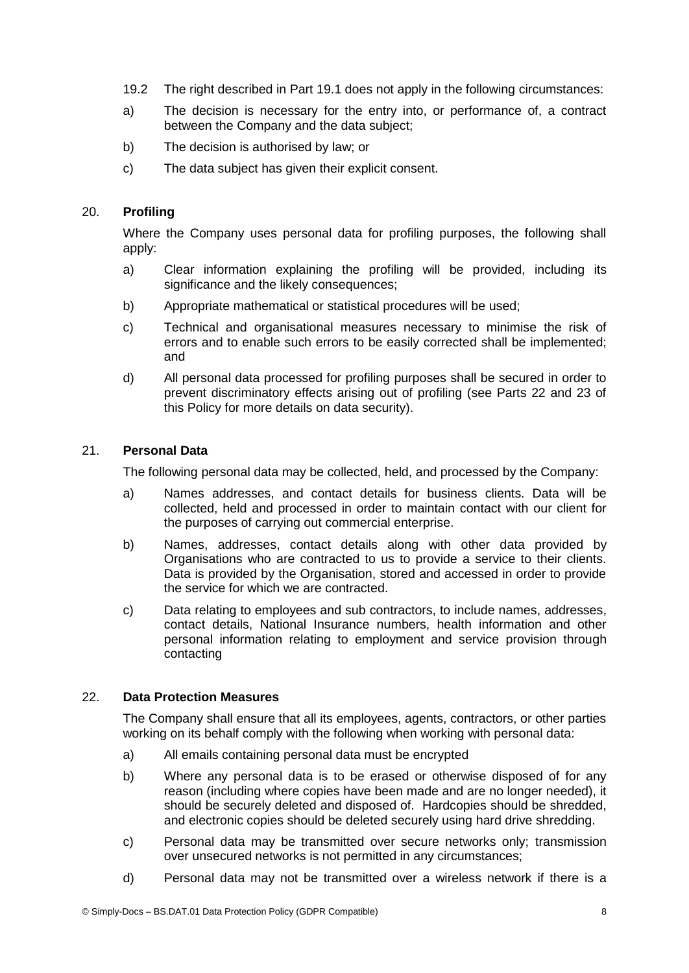- 19.2 The right described in Part 19.1 does not apply in the following circumstances:
- a) The decision is necessary for the entry into, or performance of, a contract between the Company and the data subject;
- b) The decision is authorised by law; or
- c) The data subject has given their explicit consent.

# 20. **Profiling**

Where the Company uses personal data for profiling purposes, the following shall apply:

- a) Clear information explaining the profiling will be provided, including its significance and the likely consequences;
- b) Appropriate mathematical or statistical procedures will be used;
- c) Technical and organisational measures necessary to minimise the risk of errors and to enable such errors to be easily corrected shall be implemented; and
- d) All personal data processed for profiling purposes shall be secured in order to prevent discriminatory effects arising out of profiling (see Parts 22 and 23 of this Policy for more details on data security).

# 21. **Personal Data**

The following personal data may be collected, held, and processed by the Company:

- a) Names addresses, and contact details for business clients. Data will be collected, held and processed in order to maintain contact with our client for the purposes of carrying out commercial enterprise.
- b) Names, addresses, contact details along with other data provided by Organisations who are contracted to us to provide a service to their clients. Data is provided by the Organisation, stored and accessed in order to provide the service for which we are contracted.
- c) Data relating to employees and sub contractors, to include names, addresses, contact details, National Insurance numbers, health information and other personal information relating to employment and service provision through contacting

### 22. **Data Protection Measures**

The Company shall ensure that all its employees, agents, contractors, or other parties working on its behalf comply with the following when working with personal data:

- a) All emails containing personal data must be encrypted
- b) Where any personal data is to be erased or otherwise disposed of for any reason (including where copies have been made and are no longer needed), it should be securely deleted and disposed of. Hardcopies should be shredded, and electronic copies should be deleted securely using hard drive shredding.
- c) Personal data may be transmitted over secure networks only; transmission over unsecured networks is not permitted in any circumstances;
- d) Personal data may not be transmitted over a wireless network if there is a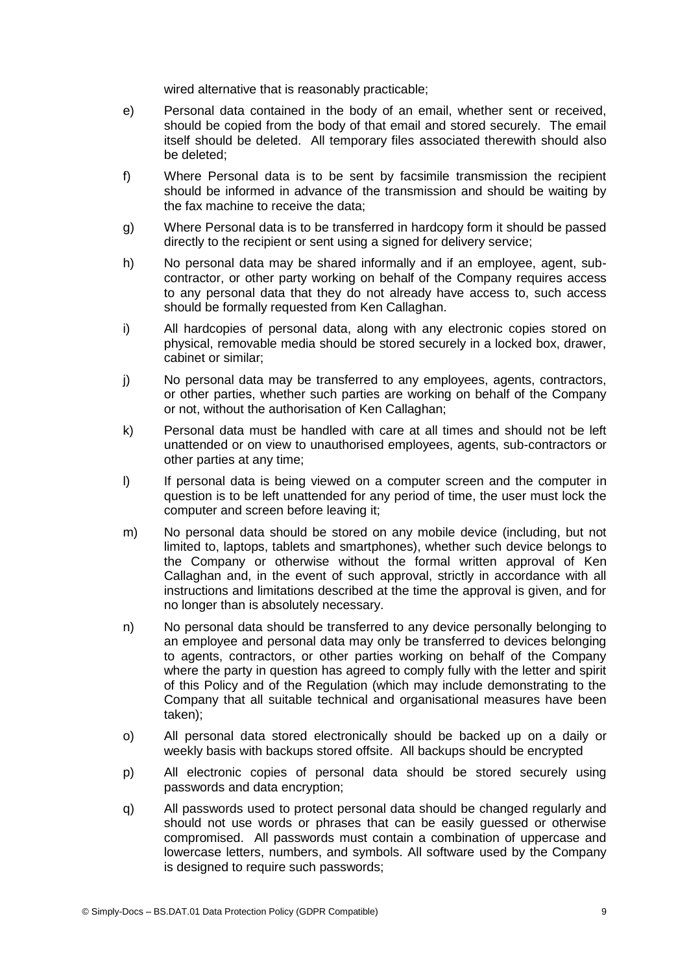wired alternative that is reasonably practicable;

- e) Personal data contained in the body of an email, whether sent or received, should be copied from the body of that email and stored securely. The email itself should be deleted. All temporary files associated therewith should also be deleted;
- f) Where Personal data is to be sent by facsimile transmission the recipient should be informed in advance of the transmission and should be waiting by the fax machine to receive the data;
- g) Where Personal data is to be transferred in hardcopy form it should be passed directly to the recipient or sent using a signed for delivery service;
- h) No personal data may be shared informally and if an employee, agent, subcontractor, or other party working on behalf of the Company requires access to any personal data that they do not already have access to, such access should be formally requested from Ken Callaghan.
- i) All hardcopies of personal data, along with any electronic copies stored on physical, removable media should be stored securely in a locked box, drawer, cabinet or similar;
- j) No personal data may be transferred to any employees, agents, contractors, or other parties, whether such parties are working on behalf of the Company or not, without the authorisation of Ken Callaghan;
- k) Personal data must be handled with care at all times and should not be left unattended or on view to unauthorised employees, agents, sub-contractors or other parties at any time;
- l) If personal data is being viewed on a computer screen and the computer in question is to be left unattended for any period of time, the user must lock the computer and screen before leaving it;
- m) No personal data should be stored on any mobile device (including, but not limited to, laptops, tablets and smartphones), whether such device belongs to the Company or otherwise without the formal written approval of Ken Callaghan and, in the event of such approval, strictly in accordance with all instructions and limitations described at the time the approval is given, and for no longer than is absolutely necessary.
- n) No personal data should be transferred to any device personally belonging to an employee and personal data may only be transferred to devices belonging to agents, contractors, or other parties working on behalf of the Company where the party in question has agreed to comply fully with the letter and spirit of this Policy and of the Regulation (which may include demonstrating to the Company that all suitable technical and organisational measures have been taken);
- o) All personal data stored electronically should be backed up on a daily or weekly basis with backups stored offsite. All backups should be encrypted
- p) All electronic copies of personal data should be stored securely using passwords and data encryption;
- q) All passwords used to protect personal data should be changed regularly and should not use words or phrases that can be easily guessed or otherwise compromised. All passwords must contain a combination of uppercase and lowercase letters, numbers, and symbols. All software used by the Company is designed to require such passwords;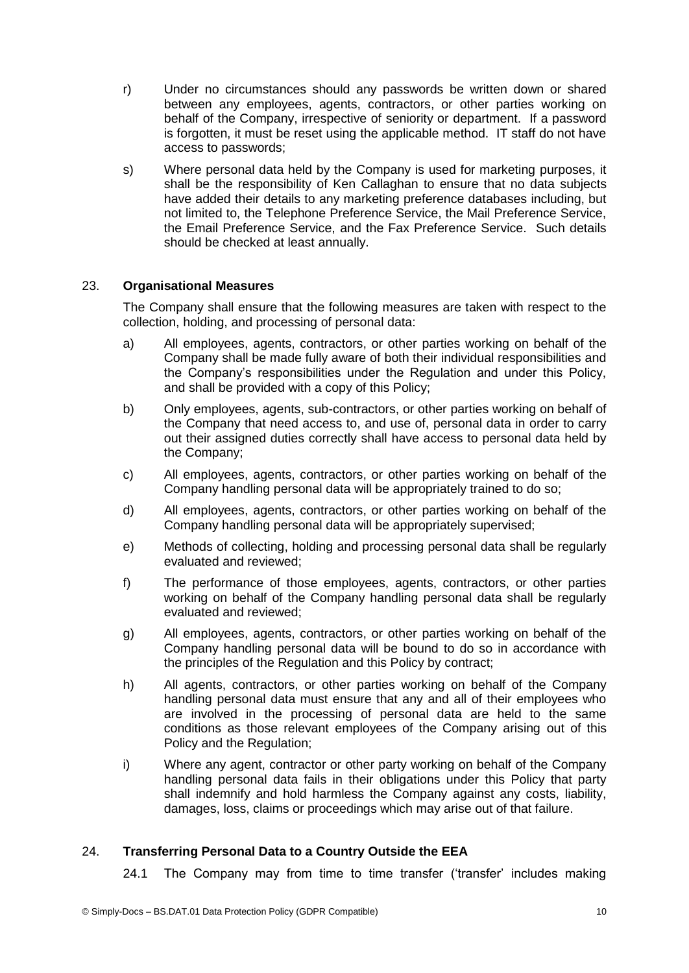- r) Under no circumstances should any passwords be written down or shared between any employees, agents, contractors, or other parties working on behalf of the Company, irrespective of seniority or department. If a password is forgotten, it must be reset using the applicable method. IT staff do not have access to passwords;
- s) Where personal data held by the Company is used for marketing purposes, it shall be the responsibility of Ken Callaghan to ensure that no data subjects have added their details to any marketing preference databases including, but not limited to, the Telephone Preference Service, the Mail Preference Service, the Email Preference Service, and the Fax Preference Service. Such details should be checked at least annually.

# 23. **Organisational Measures**

The Company shall ensure that the following measures are taken with respect to the collection, holding, and processing of personal data:

- a) All employees, agents, contractors, or other parties working on behalf of the Company shall be made fully aware of both their individual responsibilities and the Company's responsibilities under the Regulation and under this Policy, and shall be provided with a copy of this Policy;
- b) Only employees, agents, sub-contractors, or other parties working on behalf of the Company that need access to, and use of, personal data in order to carry out their assigned duties correctly shall have access to personal data held by the Company;
- c) All employees, agents, contractors, or other parties working on behalf of the Company handling personal data will be appropriately trained to do so;
- d) All employees, agents, contractors, or other parties working on behalf of the Company handling personal data will be appropriately supervised;
- e) Methods of collecting, holding and processing personal data shall be regularly evaluated and reviewed;
- f) The performance of those employees, agents, contractors, or other parties working on behalf of the Company handling personal data shall be regularly evaluated and reviewed;
- g) All employees, agents, contractors, or other parties working on behalf of the Company handling personal data will be bound to do so in accordance with the principles of the Regulation and this Policy by contract;
- h) All agents, contractors, or other parties working on behalf of the Company handling personal data must ensure that any and all of their employees who are involved in the processing of personal data are held to the same conditions as those relevant employees of the Company arising out of this Policy and the Regulation;
- i) Where any agent, contractor or other party working on behalf of the Company handling personal data fails in their obligations under this Policy that party shall indemnify and hold harmless the Company against any costs, liability, damages, loss, claims or proceedings which may arise out of that failure.

# 24. **Transferring Personal Data to a Country Outside the EEA**

24.1 The Company may from time to time transfer ('transfer' includes making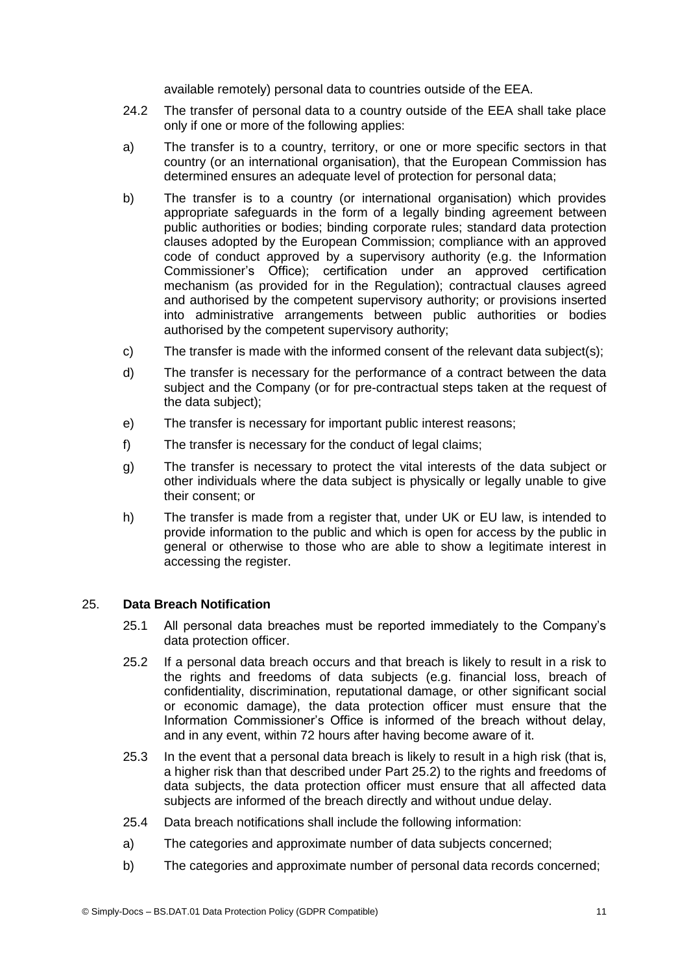available remotely) personal data to countries outside of the EEA.

- 24.2 The transfer of personal data to a country outside of the EEA shall take place only if one or more of the following applies:
- a) The transfer is to a country, territory, or one or more specific sectors in that country (or an international organisation), that the European Commission has determined ensures an adequate level of protection for personal data;
- b) The transfer is to a country (or international organisation) which provides appropriate safeguards in the form of a legally binding agreement between public authorities or bodies; binding corporate rules; standard data protection clauses adopted by the European Commission; compliance with an approved code of conduct approved by a supervisory authority (e.g. the Information Commissioner's Office); certification under an approved certification mechanism (as provided for in the Regulation); contractual clauses agreed and authorised by the competent supervisory authority; or provisions inserted into administrative arrangements between public authorities or bodies authorised by the competent supervisory authority;
- c) The transfer is made with the informed consent of the relevant data subject(s);
- d) The transfer is necessary for the performance of a contract between the data subject and the Company (or for pre-contractual steps taken at the request of the data subject);
- e) The transfer is necessary for important public interest reasons;
- f) The transfer is necessary for the conduct of legal claims;
- g) The transfer is necessary to protect the vital interests of the data subject or other individuals where the data subject is physically or legally unable to give their consent; or
- h) The transfer is made from a register that, under UK or EU law, is intended to provide information to the public and which is open for access by the public in general or otherwise to those who are able to show a legitimate interest in accessing the register.

# 25. **Data Breach Notification**

- 25.1 All personal data breaches must be reported immediately to the Company's data protection officer.
- 25.2 If a personal data breach occurs and that breach is likely to result in a risk to the rights and freedoms of data subjects (e.g. financial loss, breach of confidentiality, discrimination, reputational damage, or other significant social or economic damage), the data protection officer must ensure that the Information Commissioner's Office is informed of the breach without delay, and in any event, within 72 hours after having become aware of it.
- 25.3 In the event that a personal data breach is likely to result in a high risk (that is, a higher risk than that described under Part 25.2) to the rights and freedoms of data subjects, the data protection officer must ensure that all affected data subjects are informed of the breach directly and without undue delay.
- 25.4 Data breach notifications shall include the following information:
- a) The categories and approximate number of data subjects concerned;
- b) The categories and approximate number of personal data records concerned;